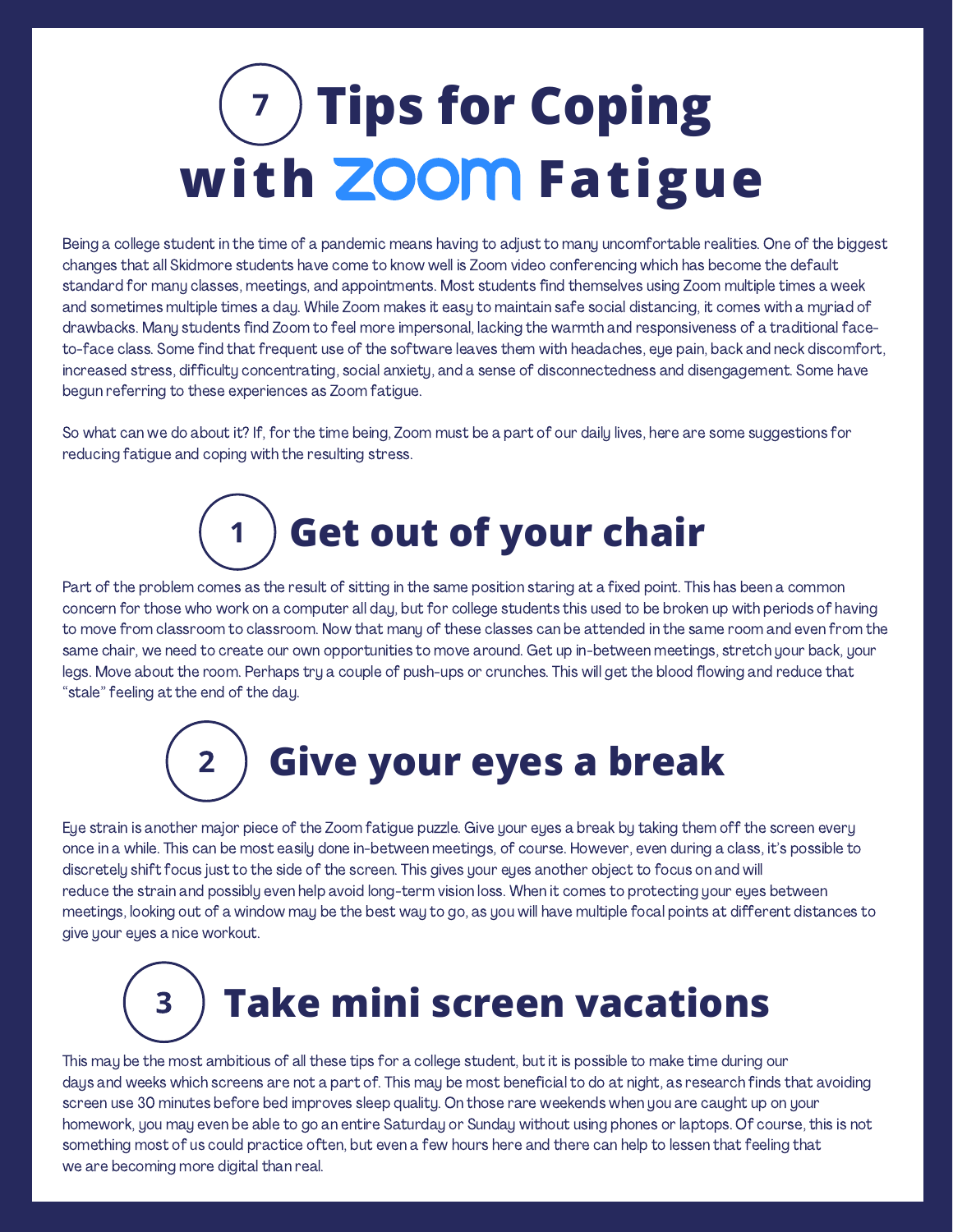## **7 ) Tips for Coping with ZOOM Fatigue**

Being a college student in the time of a pandemic means having to adjust to many uncomfortable realities. One of the biggest changes that all Skidmore students have come to know well is Zoom video conferencing which has become the default standard for many classes, meetings, and appointments. Most students find themselves using Zoom multiple times a week and sometimes multiple times a day. While Zoom makes it easy to maintain safe social distancing, it comes with a myriad of drawbacks. Many students find Zoom to feel more impersonal, lacking the warmth and responsiveness of a traditional faceto-face class. Some find that frequent use of the software leaves them with headaches, eye pain, back and neck discomfort, increased stress, difficulty concentrating, social anxiety, and a sense of disconnectedness and disengagement. Some have begun referring to these experiences as Zoom fatigue.

So what can we do about it? If, for the time being, Zoom must be a part of our daily lives, here are some suggestions for reducing fatigue and coping with the resulting stress.



Part of the problem comes as the result of sitting in the same position staring at a fixed point. This has been a common concern for those who work on a computer all day, but for college students this used to be broken up with periods of having to move from classroom to classroom. Now that many of these classes can be attended in the same room and even from the same chair, we need to create our own opportunities to move around. Get up in-between meetings, stretch your back, your legs. Move about the room. Perhaps try a couple of push-ups or crunches. This will get the blood flowing and reduce that "stale" feeling at the end of the day.



Eye strain is another major piece of the Zoom fatigue puzzle. Give your eyes a break by taking them off the screen every once in a while. This can be most easily done in-between meetings, of course. However, even during a class, it's possible to discretely shift focus just to the side of the screen. This gives your eyes another object to focus on and will reduce the strain and possibly even help avoid long-term vision loss. When it comes to protecting your eyes between meetings, looking out of a window may be the best way to go, as you will have multiple focal points at different distances to give your eyes a nice workout.

## **Take mini screen vacations**

This may be the most ambitious of all these tips for a college student, but it is possible to make time during our days and weeks which screens are not a part of. This may be most beneficial to do at night, as research finds that avoiding screen use 30 minutes before bed improves sleep quality. On those rare weekends when you are caught up on your homework, you may even be able to go an entire Saturday or Sunday without using phones or laptops. Of course, this is not something most of us could practice often, but even a few hours here and there can help to lessen that feeling that we are becoming more digital than real.